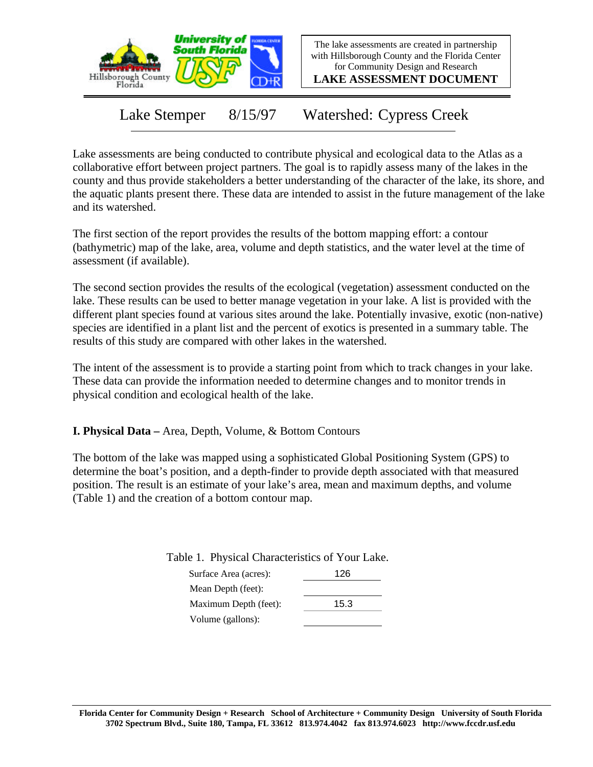

The lake assessments are created in partnership with Hillsborough County and the Florida Center for Community Design and Research

**LAKE ASSESSMENT DOCUMENT**

Lake Stemper 8/15/97 Watershed: Cypress Creek

Lake assessments are being conducted to contribute physical and ecological data to the Atlas as a collaborative effort between project partners. The goal is to rapidly assess many of the lakes in the county and thus provide stakeholders a better understanding of the character of the lake, its shore, and the aquatic plants present there. These data are intended to assist in the future management of the lake and its watershed.

The first section of the report provides the results of the bottom mapping effort: a contour (bathymetric) map of the lake, area, volume and depth statistics, and the water level at the time of assessment (if available).

The second section provides the results of the ecological (vegetation) assessment conducted on the lake. These results can be used to better manage vegetation in your lake. A list is provided with the different plant species found at various sites around the lake. Potentially invasive, exotic (non-native) species are identified in a plant list and the percent of exotics is presented in a summary table. The results of this study are compared with other lakes in the watershed.

The intent of the assessment is to provide a starting point from which to track changes in your lake. These data can provide the information needed to determine changes and to monitor trends in physical condition and ecological health of the lake.

**I. Physical Data –** Area, Depth, Volume, & Bottom Contours

The bottom of the lake was mapped using a sophisticated Global Positioning System (GPS) to determine the boat's position, and a depth-finder to provide depth associated with that measured position. The result is an estimate of your lake's area, mean and maximum depths, and volume (Table 1) and the creation of a bottom contour map.

Table 1. Physical Characteristics of Your Lake.

| Surface Area (acres): | 126  |
|-----------------------|------|
| Mean Depth (feet):    |      |
| Maximum Depth (feet): | 15.3 |
| Volume (gallons):     |      |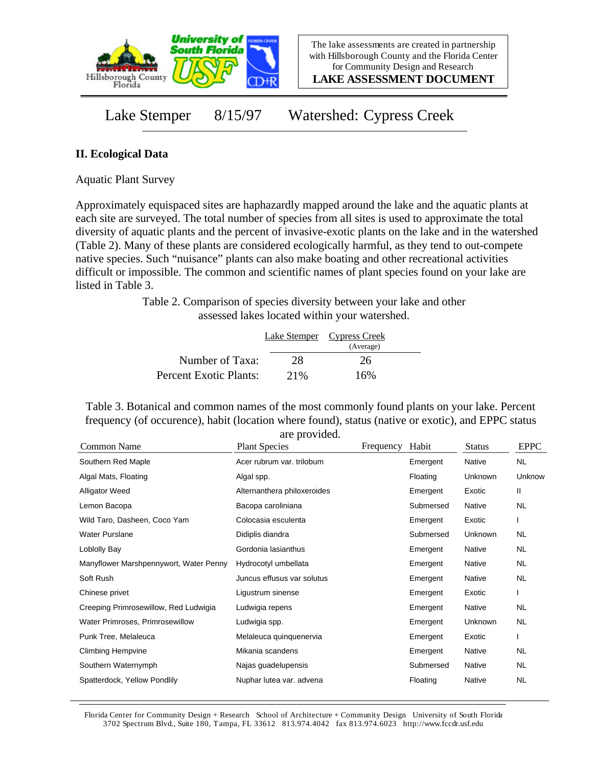

**LAKE ASSESSMENT DOCUMENT**

## Lake Stemper 8/15/97 Watershed: Cypress Creek

## **II. Ecological Data**

Aquatic Plant Survey

Approximately equispaced sites are haphazardly mapped around the lake and the aquatic plants at each site are surveyed. The total number of species from all sites is used to approximate the total diversity of aquatic plants and the percent of invasive-exotic plants on the lake and in the watershed (Table 2). Many of these plants are considered ecologically harmful, as they tend to out-compete native species. Such "nuisance" plants can also make boating and other recreational activities difficult or impossible. The common and scientific names of plant species found on your lake are listed in Table 3.

> Table 2. Comparison of species diversity between your lake and other assessed lakes located within your watershed.

|                        |      | Lake Stemper Cypress Creek |  |
|------------------------|------|----------------------------|--|
|                        |      | (Average)                  |  |
| Number of Taxa:        | 28   | 26                         |  |
| Percent Exotic Plants: | 2.1% | 16%                        |  |

Table 3. Botanical and common names of the most commonly found plants on your lake. Percent frequency (of occurence), habit (location where found), status (native or exotic), and EPPC status

| Common Name                            | are provided.<br><b>Plant Species</b> | Frequency | Habit     | <b>Status</b>  | <b>EPPC</b> |
|----------------------------------------|---------------------------------------|-----------|-----------|----------------|-------------|
| Southern Red Maple                     | Acer rubrum var. trilobum             |           | Emergent  | Native         | <b>NL</b>   |
| Algal Mats, Floating                   | Algal spp.                            |           | Floating  | Unknown        | Unknow      |
| <b>Alligator Weed</b>                  | Alternanthera philoxeroides           |           | Emergent  | Exotic         | II          |
| Lemon Bacopa                           | Bacopa caroliniana                    |           | Submersed | Native         | <b>NL</b>   |
| Wild Taro, Dasheen, Coco Yam           | Colocasia esculenta                   |           | Emergent  | Exotic         |             |
| <b>Water Purslane</b>                  | Didiplis diandra                      |           | Submersed | <b>Unknown</b> | <b>NL</b>   |
| Loblolly Bay                           | Gordonia lasianthus                   |           | Emergent  | Native         | <b>NL</b>   |
| Manyflower Marshpennywort, Water Penny | Hydrocotyl umbellata                  |           | Emergent  | Native         | NL.         |
| Soft Rush                              | Juncus effusus var solutus            |           | Emergent  | Native         | <b>NL</b>   |
| Chinese privet                         | Ligustrum sinense                     |           | Emergent  | Exotic         |             |
| Creeping Primrosewillow, Red Ludwigia  | Ludwigia repens                       |           | Emergent  | Native         | NL          |
| Water Primroses, Primrosewillow        | Ludwigia spp.                         |           | Emergent  | Unknown        | <b>NL</b>   |
| Punk Tree, Melaleuca                   | Melaleuca quinquenervia               |           | Emergent  | Exotic         |             |
| <b>Climbing Hempvine</b>               | Mikania scandens                      |           | Emergent  | Native         | NL.         |
| Southern Waternymph                    | Najas guadelupensis                   |           | Submersed | Native         | <b>NL</b>   |
| Spatterdock, Yellow Pondlily           | Nuphar lutea var. advena              |           | Floating  | Native         | <b>NL</b>   |

are provided.

Florida Center for Community Design + Research School of Architecture + Community Design University of South Florida 3702 Spectrum Blvd., Suite 180, Tampa, FL 33612 813.974.4042 fax 813.974.6023 http://www.fccdr.usf.edu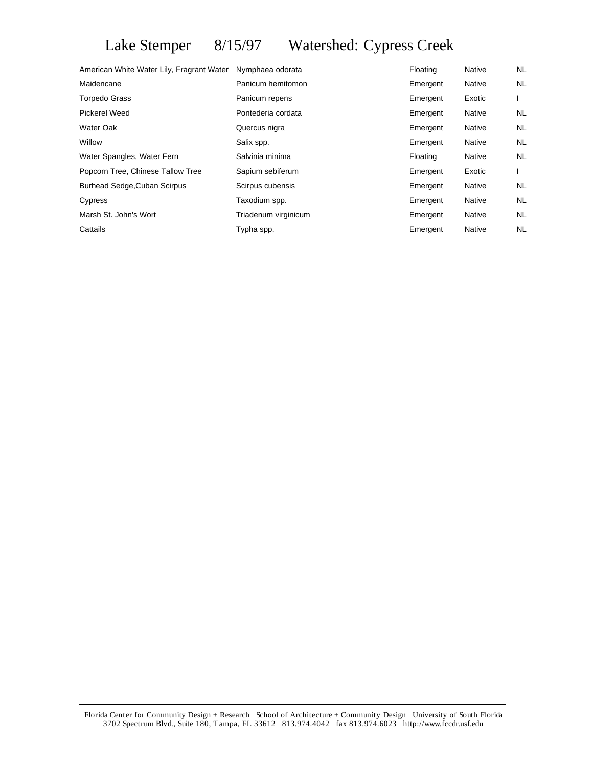## Lake Stemper 8/15/97 Watershed: Cypress Creek

| American White Water Lily, Fragrant Water Nymphaea odorata |                      | Floating | Native        | NL  |
|------------------------------------------------------------|----------------------|----------|---------------|-----|
| Maidencane                                                 | Panicum hemitomon    | Emergent | <b>Native</b> | NL. |
| <b>Torpedo Grass</b>                                       | Panicum repens       | Emergent | Exotic        |     |
| Pickerel Weed                                              | Pontederia cordata   | Emergent | Native        | NL  |
| Water Oak                                                  | Quercus nigra        | Emergent | Native        | NL. |
| Willow                                                     | Salix spp.           | Emergent | Native        | NL. |
| Water Spangles, Water Fern                                 | Salvinia minima      | Floating | Native        | NL. |
| Popcorn Tree, Chinese Tallow Tree                          | Sapium sebiferum     | Emergent | Exotic        |     |
| <b>Burhead Sedge, Cuban Scirpus</b>                        | Scirpus cubensis     | Emergent | <b>Native</b> | NL  |
| Cypress                                                    | Taxodium spp.        | Emergent | Native        | NL. |
| Marsh St. John's Wort                                      | Triadenum virginicum | Emergent | Native        | NL. |
| Cattails                                                   | Typha spp.           | Emergent | Native        | NL. |